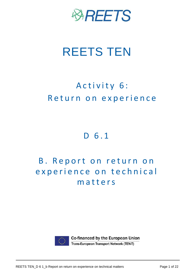

# REETS TEN

## Activity 6: Return on experience

## D 6.1

## B. Report on return on experience on technical m a t t e r s



Co-financed by the European Union Trans-European Transport Network (TEN-T)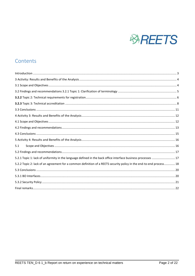

## Contents

| 5.1                                                                                                                 |  |
|---------------------------------------------------------------------------------------------------------------------|--|
|                                                                                                                     |  |
| 5.2.1 Topic 1: lack of uniformity in the language defined in the back office interface business processes  17       |  |
| 5.2.2 Topic 2: lack of an agreement for a common definition of a REETS security policy in the end-to-end process 18 |  |
|                                                                                                                     |  |
|                                                                                                                     |  |
|                                                                                                                     |  |
|                                                                                                                     |  |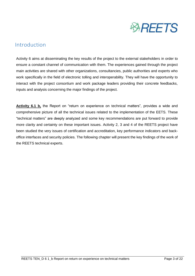

## <span id="page-2-0"></span>Introduction

Activity 6 aims at disseminating the key results of the project to the external stakeholders in order to ensure a constant channel of communication with them. The experiences gained through the project main activities are shared with other organizations, consultancies, public authorities and experts who work specifically in the field of electronic tolling and interoperability. They will have the opportunity to interact with the project consortium and work package leaders providing their concrete feedbacks, inputs and analysis concerning the major findings of the project.

**Activity 6.1 b,** the Report on "return on experience on technical matters", provides a wide and comprehensive picture of all the technical issues related to the implementation of the EETS. These "technical matters" are deeply analyzed and some key recommendations are put forward to provide more clarity and certainty on these important issues. Activity 2, 3 and 4 of the REETS project have been studied the very issues of certification and accreditation, key performance indicators and backoffice interfaces and security policies. The following chapter will present the key findings of the work of the REETS technical experts.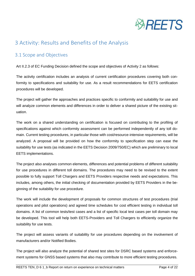

## <span id="page-3-0"></span>3 Activity: Results and Benefits of the Analysis

## <span id="page-3-1"></span>3.1 Scope and Objectives

Art II.2.3 of EC Funding Decision defined the scope and objectives of Activity 2 as follows:

The activity certification includes an analysis of current certification procedures covering both conformity to specifications and suitability for use. As a result recommendations for EETS certification procedures will be developed.

The project will gather the approaches and practices specific to conformity and suitability for use and will analyze common elements and differences in order to deliver a shared picture of the existing situation.

The work on a shared understanding on certification is focused on contributing to the profiling of specifications against which conformity assessment can be performed independently of any toll domain. Current testing procedures, in particular those with cost/resource-intensive requirements, will be analyzed. A proposal will be provided on how the conformity to specification step can ease the suitability for use tests (as indicated in the EETS Decision 2009/750/EC) which are preliminary to local EETS implementations.

The project also analyses common elements, differences and potential problems of different suitability for use procedures in different toll domains. The procedures may need to be revised to the extent possible to fully support Toll Chargers and EETS Providers respective needs and expectations. This includes, among others, the initial checking of documentation provided by EETS Providers in the beginning of the suitability for use procedure.

The work will include the development of proposals for common structures of test procedures (trial operations and pilot operations) and agreed time schedules for cost efficient testing in individual toll domains. A list of common tests/test cases and a list of specific local test cases per toll domain may be developed. This tool will help both EETS-Providers and Toll Chargers to efficiently organize the suitability for use tests.

The project will assess variants of suitability for use procedures depending on the involvement of manufacturers and/or Notified Bodies.

The project will also analyze the potential of shared test sites for DSRC based systems and enforcement systems for GNSS based systems that also may contribute to more efficient testing procedures.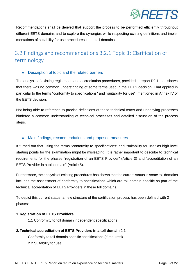

Recommendations shall be derived that support the process to be performed efficiently throughout different EETS domains and to explore the synergies while respecting existing definitions and implementations of suitability for use procedures in the toll domains.

## <span id="page-4-0"></span>3.2 Findings and recommendations 3.2.1 Topic 1: Clarification of terminology

### • Description of topic and the related barriers

The analysis of existing registration and accreditation procedures, provided in report D2.1, has shown that there was no common understanding of some terms used in the EETS decision. That applied in particular to the terms "conformity to specifications" and "suitability for use", mentioned in Annex IV of the EETS decision.

Not being able to reference to precise definitions of these technical terms and underlying processes hindered a common understanding of technical processes and detailed discussion of the process steps.

#### Main findings, recommendations and proposed measures

It turned out that using the terms "conformity to specifications" and "suitability for use" as high level starting points for the examination might be misleading. It is rather important to describe to technical requirements for the phases "registration of an EETS Provider" (Article 3) and "accreditation of an EETS Provider in a toll domain" (Article 5).

Furthermore, the analysis of existing procedures has shown that the current status in some toll domains includes the assessment of conformity to specifications which are toll domain specific as part of the technical accreditation of EETS Providers in these toll domains.

To depict this current status, a new structure of the certification process has been defined with 2 phases:

#### **1. Registration of EETS Providers**

1.1 Conformity to toll domain independent specifications

#### **2.Technical accreditation of EETS Providers in a toll domain** 2.1

Conformity to toll domain specific specifications (if required)

2.2 Suitability for use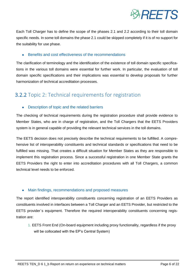

Each Toll Charger has to define the scope of the phases 2.1 and 2.2 according to their toll domain specific needs. In some toll domains the phase 2.1 could be skipped completely if it is of no support for the suitability for use phase.

#### Benefits and cost effectiveness of the recommendations

The clarification of terminology and the identification of the existence of toll domain specific specifications in the various toll domains were essential for further work. In particular, the evaluation of toll domain specific specifications and their implications was essential to develop proposals for further harmonization of technical accreditation processes.

## <span id="page-5-0"></span>3.2.2 Topic 2: Technical requirements for registration

#### Description of topic and the related barriers

The checking of technical requirements during the registration procedure shall provide evidence to Member States, who are in charge of registration, and the Toll Chargers that the EETS Providers system is in general capable of providing the relevant technical services in the toll domains.

The EETS decision does not precisely describe the technical requirements to be fulfilled. A comprehensive list of interoperability constituents and technical standards or specifications that need to be fulfilled was missing. That creates a difficult situation for Member States as they are responsible to implement this registration process. Since a successful registration in one Member State grants the EETS Providers the right to enter into accreditation procedures with all Toll Chargers, a common technical level needs to be enforced.

#### Main findings, recommendations and proposed measures

The report identified interoperability constituents concerning registration of an EETS Providers as constituents involved in interfaces between a Toll Charger and an EETS Provider, but restricted to the EETS provider´s equipment. Therefore the required interoperability constituents concerning registration are:

1. EETS Front End (On-board equipment including proxy functionality, regardless if the proxy will be collocated with the EP's Central System)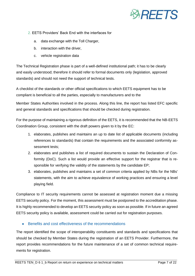

- 2. EETS Providers' Back End with the interfaces for
	- a. data exchange with the Toll Charger,
	- b. interaction with the driver,
	- c. vehicle registration data

The Technical Registration phase is part of a well-defined institutional path; it has to be clearly and easily understood; therefore it should refer to formal documents only (legislation, approved standards) and should not need the support of technical tests.

A checklist of the standards or other official specifications to which EETS equipment has to be compliant is beneficial to all the parties, especially to manufacturers and to the

Member States Authorities involved in the process. Along this line, the report has listed EFC specific and general standards and specifications that should be checked during registration.

For the purpose of maintaining a rigorous definition of the EETS, it is recommended that the NB-EETS Coordination Group, consistent with the draft powers given to it by the EC:

- 1. elaborates, publishes and maintains an up to date list of applicable documents (including references to standards) that contain the requirements and the associated conformity assessment tests;
- 2. elaborates and publishes a list of required documents to sustain the Declaration of Conformity (DoC). Such a list would provide an effective support for the registrar that is responsible for verifying the validity of the statements by the candidate EP;
- 3. elaborates, publishes and maintains a set of common criteria applied by NBs for the NBs' statements, with the aim to achieve equivalence of working practices and ensuring a level playing field.

Compliance to IT security requirements cannot be assessed at registration moment due a missing EETS security policy. For the moment, this assessment must be postponed to the accreditation phase. It is highly recommended to develop an EETS security policy as soon as possible. If in future an agreed EETS security policy is available, assessment could be carried out for registration purposes.

#### Benefits and cost effectiveness of the recommendations

The report identified the scope of interoperability constituents and standards and specifications that should be checked by Member States during the registration of an EETS Provider. Furthermore, the report provides recommendations for the future maintenance of a set of common technical requirements for registration.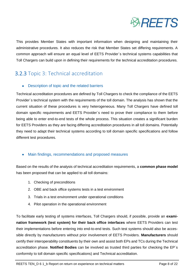

This provides Member States with important information when designing and maintaining their administrative procedures. It also reduces the risk that Member States set differing requirements. A common approach will ensure an equal level of EETS Provider´s technical systems capabilities that Toll Chargers can build upon in defining their requirements for the technical accreditation procedures.

## <span id="page-7-0"></span>3.2.3 Topic 3: Technical accreditation

### Description of topic and the related barriers

Technical accreditation procedures are defined by Toll Chargers to check the compliance of the EETS Provider´s technical system with the requirements of the toll domain. The analysis has shown that the current situation of these procedures is very heterogeneous. Many Toll Chargers have defined toll domain specific requirements and EETS Provider´s need to prove their compliance to them before being able to enter end-to-end tests of the whole process. This situation creates a significant burden for EETS Providers as they are facing differing accreditation procedures in all toll domains. Potentially they need to adapt their technical systems according to toll domain specific specifications and follow different test procedures.

### Main findings, recommendations and proposed measures

Based on the results of the analysis of technical accreditation requirements, a **common phase model**  has been proposed that can be applied to all toll domains:

- 1. Checking of preconditions
- 2. OBE and back office systems tests in a test environment
- 3. Trials in a test environment under operational conditions
- 4. Pilot operation in the operational environment

To facilitate early testing of systems interfaces, Toll Chargers should, if possible, provide an **examination framework (test system) for their back office interfaces** where EETS Providers can test their implementations before entering into end-to-end tests. Such test systems should also be accessible directly by manufacturers without prior involvement of EETS Providers. **Manufacturers** should certify their interoperability constituents by their own and assist both EPs and TCs during the Technical accreditation phase. **Notified Bodies** can be involved as trusted third parties for checking the EP´s conformity to toll domain specific specifications) and Technical accreditation.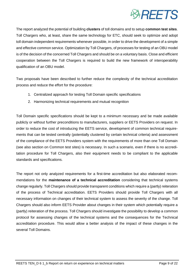

The report analyzed the potential of building **clusters** of toll domains and to setup **common test sites**. Toll Chargers who, at least, share the same technology for ETC, should seek to optimize and adopt toll domain independent requirements whenever possible, in order to drive the development of a simple and effective common service. Optimization by Toll Chargers, of processes for testing of an OBU model is of the decision of the concerned Toll Chargers and should be on a voluntary basis. Close and efficient cooperation between the Toll Chargers is required to build the new framework of interoperability qualification of an OBU model.

Two proposals have been described to further reduce the complexity of the technical accreditation process and reduce the effort for the procedure:

- 1. Centralized approach for testing Toll Domain specific specifications
- 2. Harmonizing technical requirements and mutual recognition

Toll Domain specific specifications should be kept to a minimum necessary and be made available publicly or without further preconditions to manufacturers, suppliers or EETS Providers on request. In order to reduce the cost of introducing the EETS service, development of common technical requirements that can be tested centrally (potentially clustered by certain technical criteria) and assessment of the compliance of the EETS Providers system with the requirements of more than one Toll Domain (see also section on Common test sites) is necessary. In such a scenario, even if there is no accreditation procedure for Toll Chargers, also their equipment needs to be compliant to the applicable standards and specifications.

The report not only analyzed requirements for a first-time accreditation but also elaborated recommendations for the **maintenance of a technical accreditation** considering that technical systems change regularly. Toll Chargers should provide transparent conditions which require a (partly) reiteration of the process of Technical accreditation. EETS Providers should provide Toll Chargers with all necessary information on changes of their technical system to assess the severity of the change. Toll Chargers should also inform EETS Provider about changes in their system which potentially require a (partly) reiteration of the process. Toll Chargers should investigate the possibility to develop a common protocol for assessing changes of the technical systems and the consequences for the Technical accreditation procedure. This would allow a better analysis of the impact of these changes in the several Toll Domains.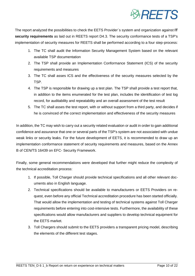

The report analyzed the possibilities to check the EETS Provider´s system and organization against **IT security requirements** as laid out in REETS report D4.3. The security conformance tests of a TSP's implementation of security measures for REETS shall be performed according to a four step-process:

- 1. The TC shall audit the Information Security Management System based on the relevant available TSP documentation
- 2. The TSP shall provide an Implementation Conformance Statement (ICS) of the security requirements and measures
- 3. The TC shall asses ICS and the effectiveness of the security measures selected by the TSP.
- 4. The TSP is responsible for drawing up a test plan. The TSP shall provide a test report that, in addition to the items enumerated for the test plan, includes the identification of test log record, for auditability and repeatability and an overall assessment of the test result
- 5. The TC shall asses the test report, with or without support from a third party, and decides if he is convinced of the correct implementation and effectiveness of the security measures

In addition, the TC may wish to carry out a security related evaluation or audit in order to gain additional confidence and assurance that one or several parts of the TSP's system are not associated with undue weak links or security leaks. For the future development of EETS, it is recommended to draw up an implementation conformance statement of security requirements and measures, based on the Annex B of CEN/TS 16439 on EFC- Security Framework.

Finally, some general recommendations were developed that further might reduce the complexity of the technical accreditation process:

- 1. If possible, Toll Charger should provide technical specifications and all other relevant documents also in English language.
- 2. Technical specifications should be available to manufacturers or EETS Providers on request, even before any official Technical accreditation procedure has been started officially. That would allow the implementation and testing of technical systems against Toll Charger requirements before entering into cost-intensive tests. Furthermore, the availability of these specifications would allow manufacturers and suppliers to develop technical equipment for the EETS market.
- 3. Toll Chargers should submit to the EETS providers a transparent pricing model, describing the elements of the different test stages.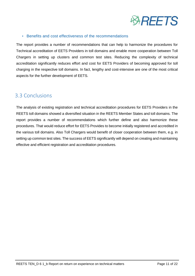

#### • Benefits and cost effectiveness of the recommendations

The report provides a number of recommendations that can help to harmonize the procedures for Technical accreditation of EETS Providers in toll domains and enable more cooperation between Toll Chargers in setting up clusters and common test sites. Reducing the complexity of technical accreditation significantly reduces effort and cost for EETS Providers of becoming approved for toll charging in the respective toll domains. In fact, lengthy and cost-intensive are one of the most critical aspects for the further development of EETS.

## <span id="page-10-0"></span>3.3 Conclusions

The analysis of existing registration and technical accreditation procedures for EETS Providers in the REETS toll domains showed a diversified situation in the REETS Member States and toll domains. The report provides a number of recommendations which further define and also harmonize these procedures. That would reduce effort for EETS Provides to become initially registered and accredited in the various toll domains. Also Toll Chargers would benefit of closer cooperation between them, e.g. in setting up common test sites. The success of EETS significantly will depend on creating and maintaining effective and efficient registration and accreditation procedures.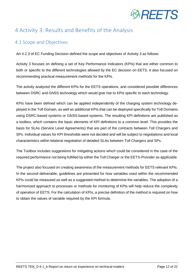

## <span id="page-11-0"></span>4 Activity 3: Results and Benefits of the Analysis

## <span id="page-11-1"></span>4.1 Scope and Objectives

Art II.2.3 of EC Funding Decision defined the scope and objectives of Activity 3 as follows:

Activity 3 focuses on defining a set of Key Performance Indicators (KPIs) that are either common to both or specific to the different technologies allowed by the EC decision on EETS. It also focused on recommending practical measurement methods for the KPIs.

The activity analyzed the different KPIs for the EETS operations, and considered possible differences between DSRC and GNSS technology which would give rise to KPIs specific to each technology.

KPIs have been defined which can be applied independently of the charging system technology deployed in the Toll Domain, as well as additional KPIs that can be deployed specifically for Toll Domains using DSRC-based systems or GNSS-based systems. The resulting KPI definitions are published as a toolbox, which contains the basic elements of KPI definitions to a common level. This provides the basis for SLAs (Service Level Agreements) that are part of the contracts between Toll Chargers and SPs. Individual values for KPI thresholds were not decided and will be subject to negotiations and local characteristics within bilateral negotiation of detailed SLAs between Toll Chargers and SPs.

The Toolbox includes suggestions for mitigating actions which could be considered in the case of the required performance not being fulfilled by either the Toll Charger or the EETS-Provider as applicable.

The project also focused on creating awareness of the measurement methods for EETS relevant KPIs. In the second deliverable, guidelines are presented for how variables used within the recommended KPIs could be measured as well as a suggested method to determine the variables. The adoption of a harmonized approach to processes or methods for monitoring of KPIs will help reduce the complexity of operation of EETS. For the calculation of KPIs, a precise definition of the method is required on how to obtain the values of variable required by the KPI formula.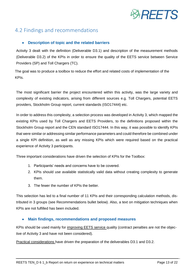

## <span id="page-12-0"></span>4.2 Findings and recommendations

#### **Description of topic and the related barriers**

Activity 3 dealt with the definition (Deliverable D3.1) and description of the measurement methods (Deliverable D3.2) of the KPIs in order to ensure the quality of the EETS service between Service Providers (SP) and Toll Chargers (TC).

The goal was to produce a toolbox to reduce the effort and related costs of implementation of the KPIs.

The most significant barrier the project encountered within this activity, was the large variety and complexity of existing indicators, arising from different sources e.g. Toll Chargers, potential EETS providers, Stockholm Group report, current standards (ISO17444) etc.

In order to address this complexity, a selection process was developed in Activity 3, which mapped the existing KPIs used by Toll Chargers and EETS Providers, to the definitions proposed within the Stockholm Group report and the CEN standard ISO17444. In this way, it was possible to identify KPIs that were similar or addressing similar performance parameters and could therefore be combined under a single KPI definition, as well as any missing KPIs which were required based on the practical experience of Activity 3 participants.

Three important considerations have driven the selection of KPIs for the Toolbox:

- 1. Participants' needs and concerns have to be covered.
- 2. KPIs should use available statistically valid data without creating complexity to generate them.
- 3. The fewer the number of KPIs the better.

This selection has led to a final number of 11 KPIs and their corresponding calculation methods, distributed in 3 groups (see Recommendations bullet below). Also, a text on mitigation techniques when KPIs are not fulfilled has been included.

#### **Main findings, recommendations and proposed measures**

KPIs should be used mainly for improving EETS service quality (contract penalties are not the objective of Activity 3 and have not been considered).

Practical considerations have driven the preparation of the deliverables D3.1 and D3.2.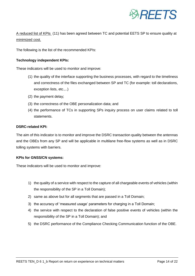

A reduced list of KPIs (11) has been agreed between TC and potential EETS SP to ensure quality at minimized cost.

The following is the list of the recommended KPIs:

#### **Technology independent KPIs:**

These indicators will be used to monitor and improve:

- (1) the quality of the interface supporting the business processes, with regard to the timeliness and correctness of the files exchanged between SP and TC (for example: toll declarations, exception lists, etc.,..)
- (2) the payment delay;
- (3) the correctness of the OBE personalization data; and
- (4) the performance of TCs in supporting SPs inquiry process on user claims related to toll statements.

#### **DSRC-related KPI:**

The aim of this indicator is to monitor and improve the DSRC transaction quality between the antennas and the OBEs from any SP and will be applicable in multilane free-flow systems as well as in DSRC tolling systems with barriers.

#### **KPIs for GNSS/CN systems:**

These indicators will be used to monitor and improve:

- 1) the quality of a service with respect to the capture of all chargeable events of vehicles (within the responsibility of the SP in a Toll Domain);
- 2) same as above but for all segments that are passed in a Toll Domain;
- 3) the accuracy of 'measured usage' parameters for charging in a Toll Domain;
- 4) the service with respect to the declaration of false positive events of vehicles (within the responsibility of the SP in a Toll Domain); and
- 5) the DSRC performance of the Compliance Checking Communication function of the OBE.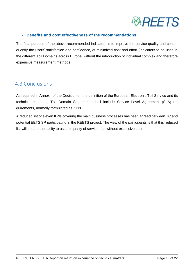

#### **• Benefits and cost effectiveness of the recommendations**

The final purpose of the above recommended indicators is to improve the service quality and consequently the users' satisfaction and confidence, at minimized cost and effort (indicators to be used in the different Toll Domains across Europe, without the introduction of individual complex and therefore expensive measurement methods).

## <span id="page-14-0"></span>4.3 Conclusions

As required in Annex I of the Decision on the definition of the European Electronic Toll Service and its technical elements, Toll Domain Statements shall include Service Level Agreement (SLA) requirements, normally formulated as KPIs.

A reduced list of eleven KPIs covering the main business processes has been agreed between TC and potential EETS SP participating in the REETS project. The view of the participants is that this reduced list will ensure the ability to assure quality of service, but without excessive cost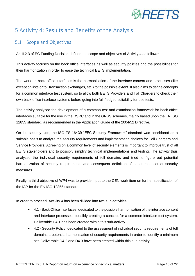

## <span id="page-15-0"></span>5 Activity 4: Results and Benefits of the Analysis

## <span id="page-15-1"></span>5.1 Scope and Objectives

Art II.2.3 of EC Funding Decision defined the scope and objectives of Activity 4 as follows:

This activity focuses on the back office interfaces as well as security policies and the possibilities for their harmonization in order to ease the technical EETS implementation.

The work on back office interfaces is the harmonization of the interface content and processes (like exception lists or toll transaction exchanges, etc.) to the possible extent. It also aims to define concepts for a common interface test system, so to allow both EETS Providers and Toll Chargers to check their own back office interface systems before going into full-fledged suitability for use tests.

The activity analyzed the development of a common test and examination framework for back office interfaces suitable for the use in the DSRC and in the GNSS schemes, mainly based upon the EN ISO 12855 standard, as recommended in the Application Guide of the 2004/52 Directive.

On the security side, the ISO TS 16439 "EFC Security Framework" standard was considered as a suitable basis to analyze the security requirements and implementation choices for Toll Chargers and Service Providers. Agreeing on a common level of security elements is important to improve trust of all EETS stakeholders and to possibly simplify technical implementations and testing. The activity thus analyzed the individual security requirements of toll domains and tried to figure out potential harmonization of security requirements and consequent definition of a common set of security measures.

Finally, a third objective of WP4 was to provide input to the CEN work item on further specification of the IAP for the EN ISO 12855 standard.

In order to proceed, Activity 4 has been divided into two sub-activities:

- 4.1 Back Office Interfaces: dedicated to the possible harmonisation of the interface content and interface processes, possibly creating a concept for a common interface test system. Deliverable D4.1 has been created within this sub-activity.
- 4.2 Security Policy: dedicated to the assessment of individual security requirements of toll domains a potential harmonisation of security requirements in order to identify a minimum set. Deliverable D4.2 and D4.3 have been created within this sub-activity.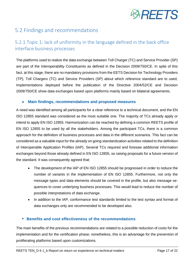

## <span id="page-16-0"></span>5.2 Findings and recommendations

## <span id="page-16-1"></span>5.2.1 Topic 1: lack of uniformity in the language defined in the back office interface business processes

The platforms used to realize the data exchange between Toll Charger (TC) and Service Provider (SP) are part of the Interoperability Constituents as defined in the Decision 2009/750/CE. In spite of this fact, at this stage, there are no mandatory provisions from the EETS Decision for Technology Providers (TP), Toll Chargers (TC) and Service Providers (SP) about which reference standard are to used, Implementations deployed before the publication of the Directive 2004/52/CE and Decision 2009/750/CE show data exchanges based upon platforms mainly based on bilateral agreements.

#### **Main findings, recommendations and proposed measures**

A need was identified among all participants for a clear reference to a technical document, and the EN ISO 12855 standard was considered as the most suitable one. The majority of TCs already apply or intend to apply EN ISO 12855. Harmonization can be reached by defining a common REETS profile of EN ISO 12855 to be used by all the stakeholders. Among the participant TCs, there is a common approach for the definition of business processes and data in the different scenarios. This fact can be considered as a valuable input for the already on going standardization activities related to the definition of Interoperable Application Profiles (IAP). Several TCs required and foresaw additional information exchanges beyond those already defined in EN ISO 12855, so raising proposals for a future version of the standard. It was consequently agreed that:

- The development of the IAP of EN ISO 12855 should be progressed in order to reduce the number of variants in the implementation of EN ISO 12855. Furthermore, not only the message types and data elements should be covered in the profile, but also message sequences to cover underlying business processes. This would lead to reduce the number of possible interpretations of data exchange.
- In addition to the IAP, conformance test standards limited to the test syntax and format of data exchanges only are recommended to be developed also.

### **• Benefits and cost effectiveness of the recommendations**

The main benefits of the previous recommendations are related to a possible reduction of costs for the implementation and for the certification phase; nonetheless, this is an advantage for the prevention of proliferating platforms based upon customizations.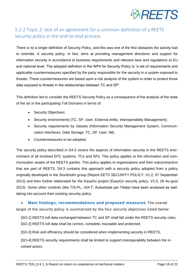

## <span id="page-17-0"></span>5.2.2 Topic 2: lack of an agreement for a common definition of a REETS security policy in the end-to-end process

There is no a single definition of Security Policy, and this was one of the first obstacles the activity had to override. A security policy, in fact, aims at providing management directions and support for information security in accordance to business requirements and relevant laws and regulations at EU and national level. The adopted definition in the WP4 for Security Policy is "a set of requirements and applicable countermeasures specified by the party responsible for the security in a system exposed to threats. These countermeasures are based upon a risk analysis of the system in order to protect those data exposed to threats in the relationships between TC and SP".

This definition led to consider the REETS Security Policy as a consequence of the analysis of the state of the art in the participating Toll Domains in terms of:

- Security Objectives;
- Security environments (TC, SP, User, External entity, Interoperability Management);
- Security requirements by classes (Information Security Management System, Communication Interfaces, Data Storage, TC, SP, User, IM);
- Countermeasures to be adopted;

The security policy described in D4.3 covers the aspects of information security in the REETS environment of all involved EFC systems, TCs and SPs. This policy applies to the information and communication assets of the REETS parties. This policy applies to organizations and their subcontractors that are part of REETS. D4.3 contains this approach with a security policy adopted from a policy originally developed in the Stockholm group (Report EETS SECURITY POLICY, V1.2, 07 September 2012) and then further elaborated for the EasyGo project (EasyGo security policy, V1.0, 28 Au-gust 2013). Some other contexts (like TIS-PL, VIA-T, Autostrade per l'Italia) have been analysed as well, taking into account their existing security policy.

#### **Main findings, recommendations and proposed measures** The overall

target of the security policy is summarized by the four security objectives listed below:

[SO-1] REETS toll data exchanged between TC and SP shall fall under the REETS security rules; [SO-2] REETS toll data shall be correct, complete, traceable and protected;

[SO-3] Risk and efficiency should be considered when implementing security in REETS;

[SO-4] REETS security requirements shall be limited to support interoperability between the involved actors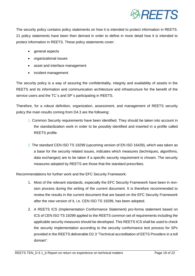

The security policy contains policy statements on how it is intended to protect information in REETS. 21 policy statements have been then derived in order to define in more detail how it is intended to protect information in REETS. These policy statements cover:

- general aspects
- organizational issues
- asset and interface management
- incident management.

The security policy is a way of assuring the confidentiality, integrity and availability of assets in the REETS and its information and communication architecture and infrastructure for the benefit of the service users and the TC`s and SP`s participating in REETS.

Therefore, for a robust definition, organization, assessment, and management of REETS security policy the main results coming from D4.3 are the following:

- 1. Common Security requirements have been identified. They should be taken into account in the standardization work in order to be possibly identified and inserted in a profile called REETS profile.
- 2. The standard CEN ISO TS 19299 (upcoming version of EN ISO 16439), which was taken as a base for the security related issues, indicates which measures (techniques, algorithms, data exchanges) are to be taken if a specific security requirement is chosen. The security measures adopted by REETS are those that the standard prescribes.

Recommendations for further work and the EFC Security Framework:

- 1. Most of the relevant standards, especially the EFC Security Framework have been in revision process during the writing of the current document. It is therefore recommended to review the results in the current document that are based on the EFC Security Framework after the new version of it, i.e. CEN ISO TS 19299, has been adopted.
- 2. A REETS ICS (Implementation Conformance Statement) pro-forma statement based on ICS of CEN ISO TS 19299 applied to the REETS common set of requirements including the applicable security measures should be developed. This REETS ICS shall be used to check the security implementation according to the security conformance test process for SPs provided in the REETS deliverable D2.3 "Technical accreditation of EETS Providers in a toll domain".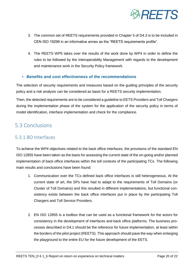

- 3. The common set of REETS requirements provided in Chapter 5 of D4.3 is to be included in CEN ISO 19299 in an informative annex as the "REETS requirements profile".
- 4. The REETS WP5 takes over the results of the work done by WP4 in order to define the rules to be followed by the Interoperability Management with regards to the development and maintenance work in the Security Policy framework.

#### **• Benefits and cost effectiveness of the recommendations**

The selection of security requirements and measures based on the guiding principles of the security policy and a risk analysis can be considered as basis for a REETS security implementation.

Then, the detected requirements are to be considered a guideline to EETS Providers and Toll Chargers during the implementation phase of the system for the application of the security policy in terms of model identification, interface implementation and check for the compliance.

## <span id="page-19-1"></span><span id="page-19-0"></span>5.3 Conclusions

### 5.3.1 BO Interfaces

To achieve the WP4 objectives related to the back office interfaces, the provisions of the standard EN ISO 12855 have been taken as the basis for assessing the current state of the on-going and/or planned implementation of back office interfaces within the toll contexts of the participating TCs. The following main results and conclusions have been found:

- 1. Communication over the TCs defined back office interfaces is still heterogeneous. At the current state of art, the SPs have had to adapt to the requirements of Toll Domains (or Cluster of Toll Domains) and this resulted in different implementations, but functional consistency exists between the back office interfaces put in place by the participating Toll Chargers and Toll Service Providers.
- 2. EN ISO 12855 is a toolbox that can be used as a functional framework for the actors for consistency in the development of interfaces and back office platforms. The business processes described in D4.1 should be the reference for future implementation, at least within the borders of the pilot project (REETS). This approach should pave the way when enlarging the playground to the entire EU for the future development of the EETS.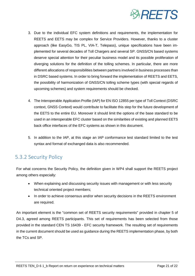

- 3. Due to the individual EFC system definitions and requirements, the implementation for REETS and EETS may be complex for Service Providers. However, thanks to a cluster approach (like EasyGo, TIS PL, VIA-T, Telepass), unique specifications have been implemented for several decades of Toll Chargers and several SP. GNSS/CN based systems deserve special attention for their peculiar business model and its possible proliferation of diverging solutions for the definition of the tolling schemes. In particular, there are more different allocations of responsibilities between partners involved in business processes than in DSRC based systems. In order to bring forward the implementation of REETS and EETS, the possibility of harmonization of GNSS/CN tolling scheme types (with special regards of upcoming schemes) and system requirements should be checked.
- 4. The Interoperable Application Profile (IAP) for EN ISO 12855 per type of Toll Context (DSRC context, GNSS Context) would contribute to facilitate this step for the future development of the EETS to the entire EU. Moreover it should limit the options of the base standard to be used in an interoperable EFC cluster based on the similarities of existing and planned EETS back office interfaces of the EFC systems as shown in this document.
- 5. In addition to the IAP, at this stage an IAP conformance test standard limited to the test syntax and format of exchanged data is also recommended.

## <span id="page-20-0"></span>5.3.2 Security Policy

For what concerns the Security Policy, the definition given in WP4 shall support the REETS project among others especially:

- When explaining and discussing security issues with management or with less security technical oriented project members;
- In order to achieve consensus and/or when security decisions in the REETS environment are required.

An important element is the "common set of REETS security requirements" provided in chapter 5 of D4.3, agreed among REETS participants. This set of requirements has been selected from those provided in the standard CEN TS 16439 - EFC security framework. The resulting set of requirements in the current document should be used as guidance during the REETS implementation phase, by both the TCs and SP.